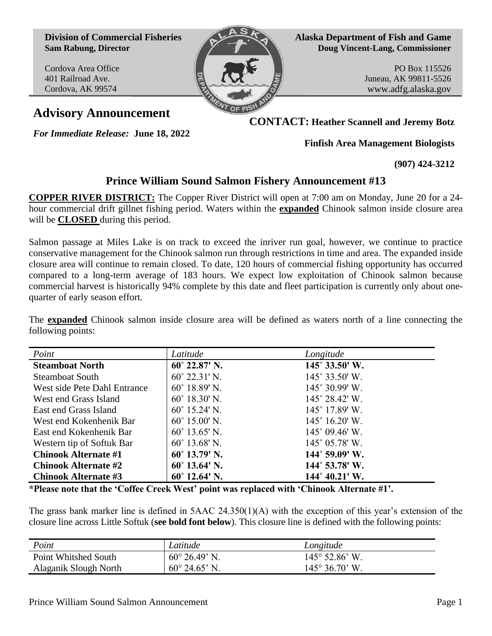**Division of Commercial Fisheries Sam Rabung, Director**

Cordova Area Office 401 Railroad Ave. Cordova, AK 99574



**Alaska Department of Fish and Game Doug Vincent-Lang, Commissioner**

> PO Box 115526 Juneau, AK 99811-5526 www.adfg.alaska.gov

**Advisory Announcement**

*For Immediate Release:* **June 18, 2022**

**CONTACT: Heather Scannell and Jeremy Botz**

**Finfish Area Management Biologists**

**(907) 424-3212**

## **Prince William Sound Salmon Fishery Announcement #13**

**COPPER RIVER DISTRICT:** The Copper River District will open at 7:00 am on Monday, June 20 for a 24 hour commercial drift gillnet fishing period. Waters within the **expanded** Chinook salmon inside closure area will be **CLOSED** during this period.

Salmon passage at Miles Lake is on track to exceed the inriver run goal, however, we continue to practice conservative management for the Chinook salmon run through restrictions in time and area. The expanded inside closure area will continue to remain closed. To date, 120 hours of commercial fishing opportunity has occurred compared to a long-term average of 183 hours. We expect low exploitation of Chinook salmon because commercial harvest is historically 94% complete by this date and fleet participation is currently only about onequarter of early season effort.

The **expanded** Chinook salmon inside closure area will be defined as waters north of a line connecting the following points:

| Point                        | Latitude               | Longitude               |
|------------------------------|------------------------|-------------------------|
| <b>Steamboat North</b>       | $60^{\circ}$ 22.87' N. | 145° 33.50' W.          |
| <b>Steamboat South</b>       | $60^{\circ}$ 22.31' N. | $145^{\circ}$ 33.50' W. |
| West side Pete Dahl Entrance | $60^{\circ}$ 18.89' N. | 145° 30.99' W.          |
| West end Grass Island        | $60^{\circ}$ 18.30' N. | 145° 28.42' W.          |
| East end Grass Island        | $60^{\circ}$ 15.24' N. | 145° 17.89' W.          |
| West end Kokenhenik Bar      | $60^{\circ}$ 15.00' N. | $145^{\circ}$ 16.20' W. |
| East end Kokenhenik Bar      | $60^{\circ}$ 13.65' N. | $145^{\circ}$ 09.46' W. |
| Western tip of Softuk Bar    | $60^{\circ}$ 13.68' N. | 145° 05.78' W.          |
| <b>Chinook Alternate #1</b>  | $60^{\circ}$ 13.79' N. | $144^{\circ}$ 59.09' W. |
| <b>Chinook Alternate #2</b>  | $60^{\circ}$ 13.64' N. | 144° 53.78′ W.          |
| <b>Chinook Alternate #3</b>  | $60^{\circ}$ 12.64' N. | $144^{\circ} 40.21'$ W. |

**\*Please note that the 'Coffee Creek West' point was replaced with 'Chinook Alternate #1'.**

The grass bank marker line is defined in 5AAC 24.350(1)(A) with the exception of this year's extension of the closure line across Little Softuk (**see bold font below**). This closure line is defined with the following points:

| Point                 | Latitude               | Longitude                      |
|-----------------------|------------------------|--------------------------------|
| Point Whitshed South  | $60^{\circ}$ 26.49' N. | $145^{\circ}$ 52.86' W.        |
| Alaganik Slough North | $60^{\circ}$ 24.65' N. | $145^{\circ} 36.70^{\circ}$ W. |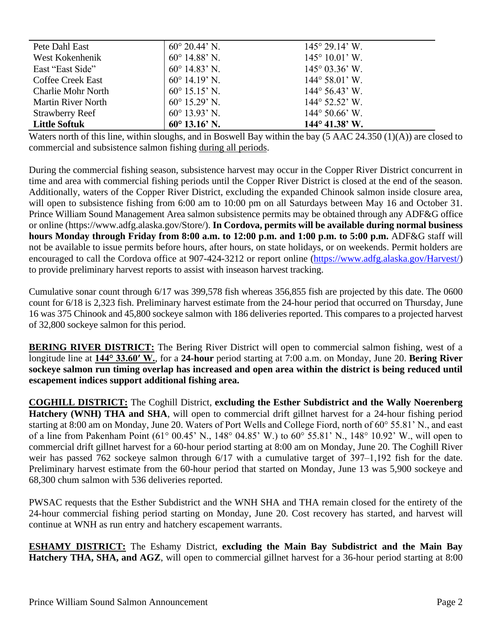| Pete Dahl East            | $60^{\circ}$ 20.44' N. | $145^{\circ} 29.14^{\circ}$ W. |
|---------------------------|------------------------|--------------------------------|
| West Kokenhenik           | $60^{\circ}$ 14.88' N. | $145^{\circ} 10.01'$ W.        |
| East "East Side"          | $60^{\circ}$ 14.83' N. | $145^{\circ}$ 03.36° W.        |
| <b>Coffee Creek East</b>  | $60^{\circ}$ 14.19' N. | $144^{\circ} 58.01'$ W.        |
| <b>Charlie Mohr North</b> | $60^{\circ}$ 15.15' N. | $144^{\circ} 56.43$ W.         |
| <b>Martin River North</b> | $60^{\circ}$ 15.29' N. | $144^{\circ}$ 52.52' W.        |
| <b>Strawberry Reef</b>    | $60^{\circ}$ 13.93' N. | $144^{\circ} 50.66^{\circ}$ W. |
| <b>Little Softuk</b>      | $60^{\circ}$ 13.16' N. | $144^{\circ}$ 41.38' W.        |

Waters north of this line, within sloughs, and in Boswell Bay within the bay (5 AAC 24.350 (1)(A)) are closed to commercial and subsistence salmon fishing during all periods.

During the commercial fishing season, subsistence harvest may occur in the Copper River District concurrent in time and area with commercial fishing periods until the Copper River District is closed at the end of the season. Additionally, waters of the Copper River District, excluding the expanded Chinook salmon inside closure area, will open to subsistence fishing from 6:00 am to 10:00 pm on all Saturdays between May 16 and October 31. Prince William Sound Management Area salmon subsistence permits may be obtained through any ADF&G office or online [\(https://www.adfg.alaska.gov/Store/\)](https://www.adfg.alaska.gov/Store/). **In Cordova, permits will be available during normal business hours Monday through Friday from 8:00 a.m. to 12:00 p.m. and 1:00 p.m. to 5:00 p.m.** ADF&G staff will not be available to issue permits before hours, after hours, on state holidays, or on weekends. Permit holders are encouraged to call the Cordova office at 907-424-3212 or report online [\(https://www.adfg.alaska.gov/Harvest/\)](https://www.adfg.alaska.gov/Harvest/) to provide preliminary harvest reports to assist with inseason harvest tracking.

Cumulative sonar count through 6/17 was 399,578 fish whereas 356,855 fish are projected by this date. The 0600 count for 6/18 is 2,323 fish. Preliminary harvest estimate from the 24-hour period that occurred on Thursday, June 16 was 375 Chinook and 45,800 sockeye salmon with 186 deliveries reported. This compares to a projected harvest of 32,800 sockeye salmon for this period.

**BERING RIVER DISTRICT:** The Bering River District will open to commercial salmon fishing, west of a longitude line at **144° 33.60ʹ W.**, for a **24-hour** period starting at 7:00 a.m. on Monday, June 20. **Bering River sockeye salmon run timing overlap has increased and open area within the district is being reduced until escapement indices support additional fishing area.**

**COGHILL DISTRICT:** The Coghill District, **excluding the Esther Subdistrict and the Wally Noerenberg Hatchery (WNH) THA and SHA**, will open to commercial drift gillnet harvest for a 24-hour fishing period starting at 8:00 am on Monday, June 20. Waters of Port Wells and College Fiord, north of 60° 55.81' N., and east of a line from Pakenham Point (61° 00.45' N., 148° 04.85' W.) to 60° 55.81' N., 148° 10.92' W., will open to commercial drift gillnet harvest for a 60-hour period starting at 8:00 am on Monday, June 20. The Coghill River weir has passed  $762$  sockeye salmon through  $6/17$  with a cumulative target of  $397-1,192$  fish for the date. Preliminary harvest estimate from the 60-hour period that started on Monday, June 13 was 5,900 sockeye and 68,300 chum salmon with 536 deliveries reported.

PWSAC requests that the Esther Subdistrict and the WNH SHA and THA remain closed for the entirety of the 24-hour commercial fishing period starting on Monday, June 20. Cost recovery has started, and harvest will continue at WNH as run entry and hatchery escapement warrants.

**ESHAMY DISTRICT:** The Eshamy District, **excluding the Main Bay Subdistrict and the Main Bay Hatchery THA, SHA, and AGZ**, will open to commercial gillnet harvest for a 36-hour period starting at 8:00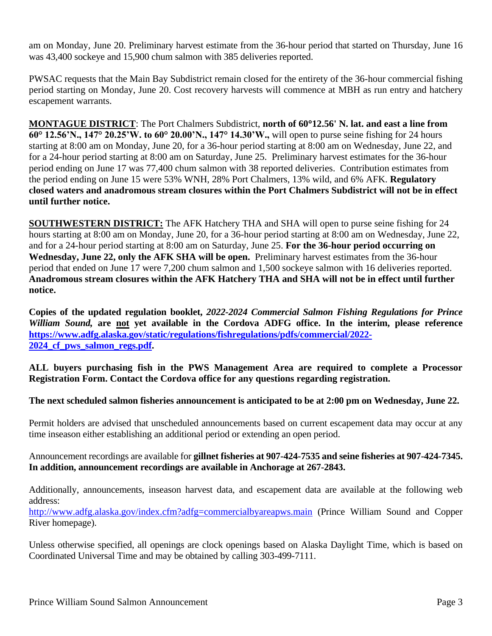am on Monday, June 20. Preliminary harvest estimate from the 36-hour period that started on Thursday, June 16 was 43,400 sockeye and 15,900 chum salmon with 385 deliveries reported.

PWSAC requests that the Main Bay Subdistrict remain closed for the entirety of the 36-hour commercial fishing period starting on Monday, June 20. Cost recovery harvests will commence at MBH as run entry and hatchery escapement warrants.

**MONTAGUE DISTRICT**: The Port Chalmers Subdistrict, **north of 6012.56' N. lat. and east a line from 60° 12.56'N., 147° 20.25'W. to 60° 20.00'N., 147° 14.30'W.,** will open to purse seine fishing for 24 hours starting at 8:00 am on Monday, June 20, for a 36-hour period starting at 8:00 am on Wednesday, June 22, and for a 24-hour period starting at 8:00 am on Saturday, June 25. Preliminary harvest estimates for the 36-hour period ending on June 17 was 77,400 chum salmon with 38 reported deliveries. Contribution estimates from the period ending on June 15 were 53% WNH, 28% Port Chalmers, 13% wild, and 6% AFK. **Regulatory closed waters and anadromous stream closures within the Port Chalmers Subdistrict will not be in effect until further notice.**

**SOUTHWESTERN DISTRICT:** The AFK Hatchery THA and SHA will open to purse seine fishing for 24 hours starting at 8:00 am on Monday, June 20, for a 36-hour period starting at 8:00 am on Wednesday, June 22, and for a 24-hour period starting at 8:00 am on Saturday, June 25. **For the 36-hour period occurring on Wednesday, June 22, only the AFK SHA will be open.** Preliminary harvest estimates from the 36-hour period that ended on June 17 were 7,200 chum salmon and 1,500 sockeye salmon with 16 deliveries reported. **Anadromous stream closures within the AFK Hatchery THA and SHA will not be in effect until further notice.**

**Copies of the updated regulation booklet,** *2022-2024 Commercial Salmon Fishing Regulations for Prince William Sound,* **are not yet available in the Cordova ADFG office. In the interim, please reference [https://www.adfg.alaska.gov/static/regulations/fishregulations/pdfs/commercial/2022-](https://www.adfg.alaska.gov/static/regulations/fishregulations/pdfs/commercial/2022-2024_cf_pws_salmon_regs.pdf) [2024\\_cf\\_pws\\_salmon\\_regs.pdf.](https://www.adfg.alaska.gov/static/regulations/fishregulations/pdfs/commercial/2022-2024_cf_pws_salmon_regs.pdf)** 

**ALL buyers purchasing fish in the PWS Management Area are required to complete a Processor Registration Form. Contact the Cordova office for any questions regarding registration.** 

## **The next scheduled salmon fisheries announcement is anticipated to be at 2:00 pm on Wednesday, June 22.**

Permit holders are advised that unscheduled announcements based on current escapement data may occur at any time inseason either establishing an additional period or extending an open period.

Announcement recordings are available for **gillnet fisheries at 907-424-7535 and seine fisheries at 907-424-7345. In addition, announcement recordings are available in Anchorage at 267-2843.**

Additionally, announcements, inseason harvest data, and escapement data are available at the following web address:

<http://www.adfg.alaska.gov/index.cfm?adfg=commercialbyareapws.main> (Prince William Sound and Copper River homepage).

Unless otherwise specified, all openings are clock openings based on Alaska Daylight Time, which is based on Coordinated Universal Time and may be obtained by calling 303-499-7111.